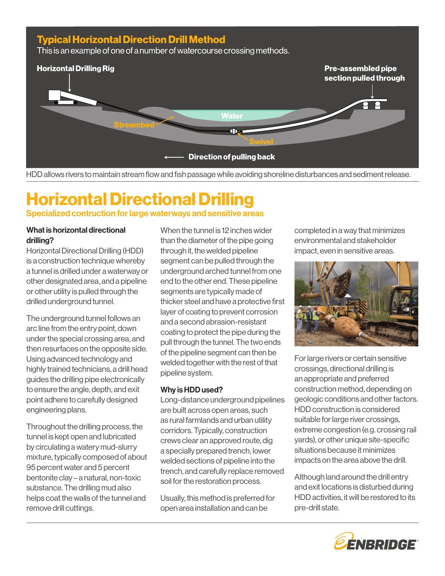# **Typical Horizontal Direction Drill Method**

This is an example of one of a number of watercourse crossing methods.



HDD allows rivers to maintain stream flow and fish passage while avoiding shoreline disturbances and sediment release.

# Horizontal Directional Drilling Specialized contruction for large waterways and sensitive areas

## What is horizontal directional drilling?

Horizontal Directional Drilling (HDD) is a construction technique whereby a tunnel is drilled under a waterway or other designated area, and a pipeline or other utility is pulled through the drilled underground tunnel.

The underground tunnel follows an arc line from the entry point, down under the special crossing area, and then resurfaces on the opposite side. Using advanced technology and highly trained technicians, a drill head guides the drilling pipe electronically to ensure the angle, depth, and exit point adhere to carefully designed engineering plans.

Throughout the drilling process, the tunnel is kept open and lubricated by circulating a watery mud-slurry mixture, typically composed of about 95 percent water and 5 percent bentonite clay – a natural, non-toxic substance. The drilling mud also helps coat the walls of the tunnel and remove drill cuttings.

When the tunnel is 12 inches wider than the diameter of the pipe going through it, the welded pipeline segment can be pulled through the underground arched tunnel from one end to the other end. These pipeline segments are typically made of thicker steel and have a protective first layer of coating to prevent corrosion and a second abrasion-resistant coating to protect the pipe during the pull through the tunnel. The two ends of the pipeline segment can then be welded together with the rest of that pipeline system.

#### Why is HDD used?

Long-distance underground pipelines are built across open areas, such as rural farmlands and urban utility corridors. Typically, construction crews clear an approved route, dig a specially prepared trench, lower welded sections of pipeline into the trench, and carefully replace removed soil for the restoration process.

Usually, this method is preferred for open area installation and can be

completed in a way that minimizes environmental and stakeholder impact, even in sensitive areas.



For large rivers or certain sensitive crossings, directional drilling is an appropriate and preferred construction method, depending on geologic conditions and other factors. HDD construction is considered suitable for large river crossings, extreme congestion (e.g. crossing rail yards), or other unique site-specific situations because it minimizes impacts on the area above the drill.

Although land around the drill entry and exit locations is disturbed during HDD activities, it will be restored to its pre-drill state.